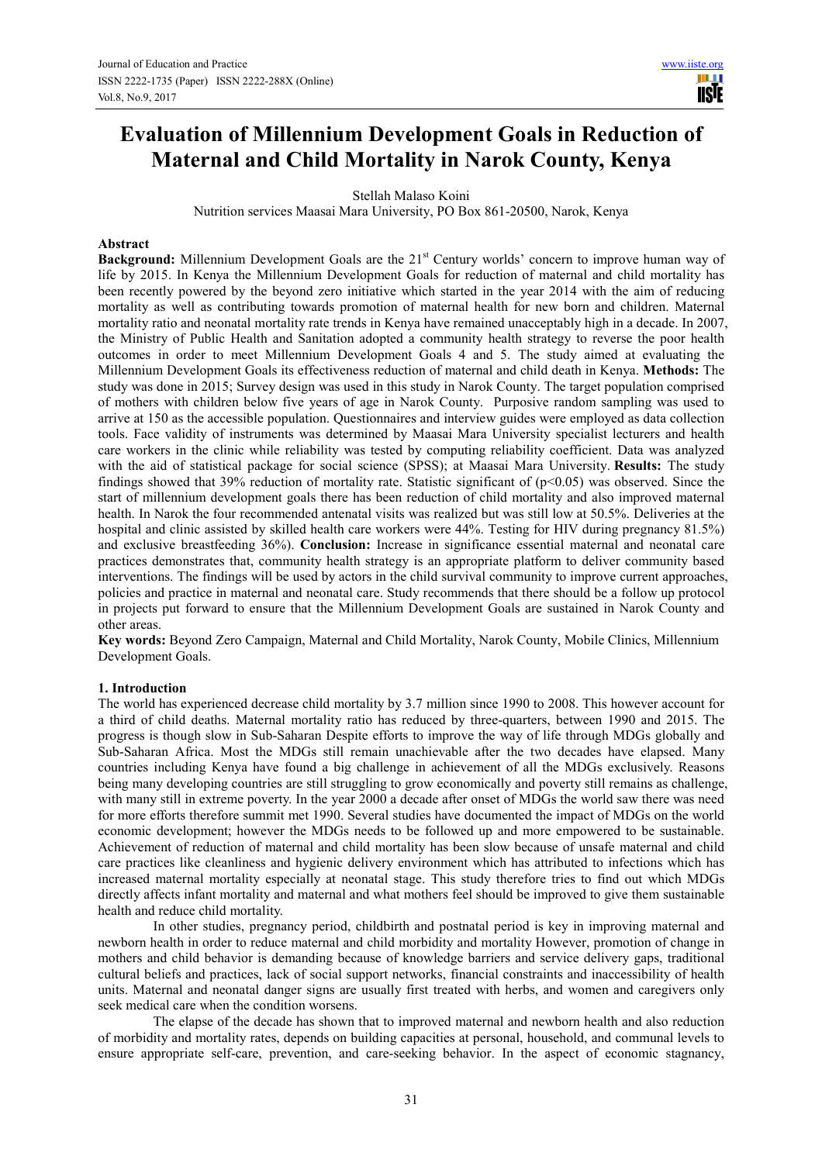# **Evaluation of Millennium Development Goals in Reduction of Maternal and Child Mortality in Narok County, Kenya**

Stellah Malaso Koini

Nutrition services Maasai Mara University, PO Box 861-20500, Narok, Kenya

#### **Abstract**

**Background:** Millennium Development Goals are the 21<sup>st</sup> Century worlds' concern to improve human way of life by 2015. In Kenya the Millennium Development Goals for reduction of maternal and child mortality has been recently powered by the beyond zero initiative which started in the year 2014 with the aim of reducing mortality as well as contributing towards promotion of maternal health for new born and children. Maternal mortality ratio and neonatal mortality rate trends in Kenya have remained unacceptably high in a decade. In 2007, the Ministry of Public Health and Sanitation adopted a community health strategy to reverse the poor health outcomes in order to meet Millennium Development Goals 4 and 5. The study aimed at evaluating the Millennium Development Goals its effectiveness reduction of maternal and child death in Kenya. **Methods:** The study was done in 2015; Survey design was used in this study in Narok County. The target population comprised of mothers with children below five years of age in Narok County. Purposive random sampling was used to arrive at 150 as the accessible population. Questionnaires and interview guides were employed as data collection tools. Face validity of instruments was determined by Maasai Mara University specialist lecturers and health care workers in the clinic while reliability was tested by computing reliability coefficient. Data was analyzed with the aid of statistical package for social science (SPSS); at Maasai Mara University. **Results:** The study findings showed that 39% reduction of mortality rate. Statistic significant of  $(p<0.05)$  was observed. Since the start of millennium development goals there has been reduction of child mortality and also improved maternal health. In Narok the four recommended antenatal visits was realized but was still low at 50.5%. Deliveries at the hospital and clinic assisted by skilled health care workers were 44%. Testing for HIV during pregnancy 81.5%) and exclusive breastfeeding 36%). **Conclusion:** Increase in significance essential maternal and neonatal care practices demonstrates that, community health strategy is an appropriate platform to deliver community based interventions. The findings will be used by actors in the child survival community to improve current approaches, policies and practice in maternal and neonatal care. Study recommends that there should be a follow up protocol in projects put forward to ensure that the Millennium Development Goals are sustained in Narok County and other areas.

**Key words:** Beyond Zero Campaign, Maternal and Child Mortality, Narok County, Mobile Clinics, Millennium Development Goals.

## **1. Introduction**

The world has experienced decrease child mortality by 3.7 million since 1990 to 2008. This however account for a third of child deaths. Maternal mortality ratio has reduced by three-quarters, between 1990 and 2015. The progress is though slow in Sub-Saharan Despite efforts to improve the way of life through MDGs globally and Sub-Saharan Africa. Most the MDGs still remain unachievable after the two decades have elapsed. Many countries including Kenya have found a big challenge in achievement of all the MDGs exclusively. Reasons being many developing countries are still struggling to grow economically and poverty still remains as challenge, with many still in extreme poverty. In the year 2000 a decade after onset of MDGs the world saw there was need for more efforts therefore summit met 1990. Several studies have documented the impact of MDGs on the world economic development; however the MDGs needs to be followed up and more empowered to be sustainable. Achievement of reduction of maternal and child mortality has been slow because of unsafe maternal and child care practices like cleanliness and hygienic delivery environment which has attributed to infections which has increased maternal mortality especially at neonatal stage. This study therefore tries to find out which MDGs directly affects infant mortality and maternal and what mothers feel should be improved to give them sustainable health and reduce child mortality.

In other studies, pregnancy period, childbirth and postnatal period is key in improving maternal and newborn health in order to reduce maternal and child morbidity and mortality However, promotion of change in mothers and child behavior is demanding because of knowledge barriers and service delivery gaps, traditional cultural beliefs and practices, lack of social support networks, financial constraints and inaccessibility of health units. Maternal and neonatal danger signs are usually first treated with herbs, and women and caregivers only seek medical care when the condition worsens.

The elapse of the decade has shown that to improved maternal and newborn health and also reduction of morbidity and mortality rates, depends on building capacities at personal, household, and communal levels to ensure appropriate self-care, prevention, and care-seeking behavior. In the aspect of economic stagnancy,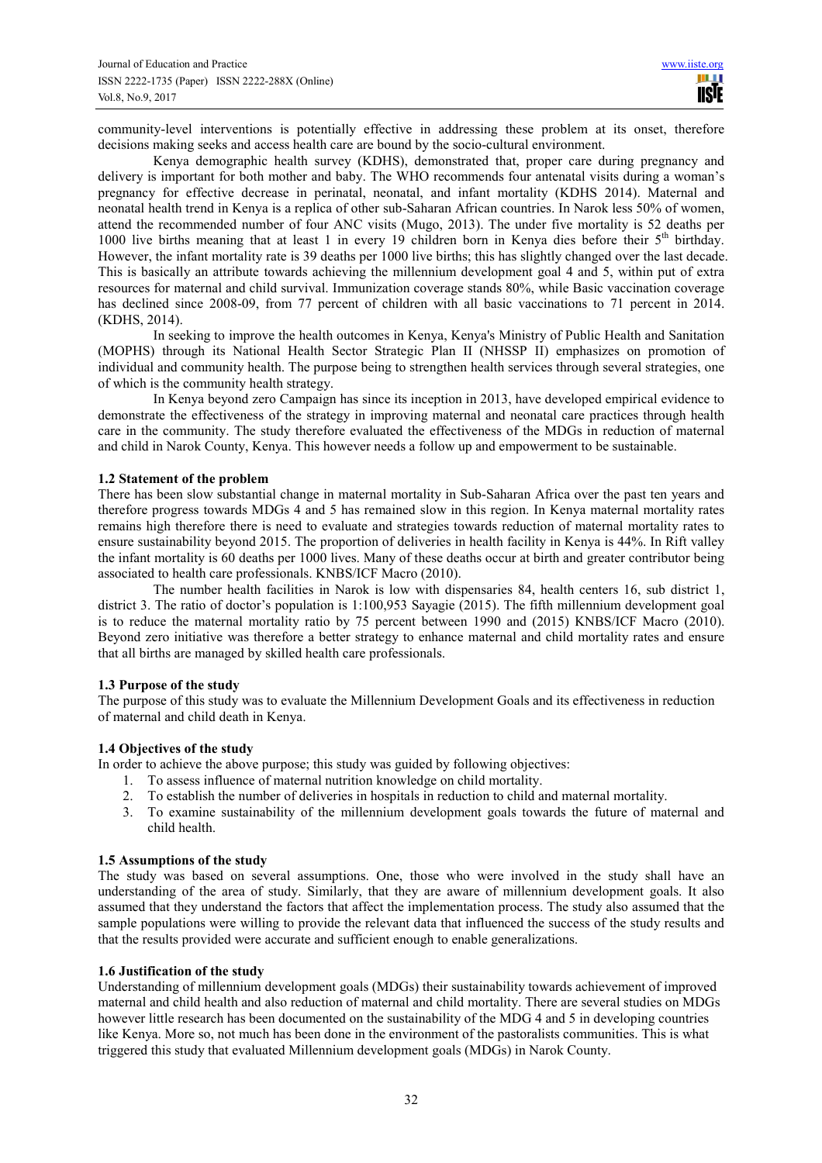community-level interventions is potentially effective in addressing these problem at its onset, therefore decisions making seeks and access health care are bound by the socio-cultural environment.

Kenya demographic health survey (KDHS), demonstrated that, proper care during pregnancy and delivery is important for both mother and baby. The WHO recommends four antenatal visits during a woman's pregnancy for effective decrease in perinatal, neonatal, and infant mortality (KDHS 2014). Maternal and neonatal health trend in Kenya is a replica of other sub-Saharan African countries. In Narok less 50% of women, attend the recommended number of four ANC visits (Mugo, 2013). The under five mortality is 52 deaths per 1000 live births meaning that at least 1 in every 19 children born in Kenya dies before their 5th birthday. However, the infant mortality rate is 39 deaths per 1000 live births; this has slightly changed over the last decade. This is basically an attribute towards achieving the millennium development goal 4 and 5, within put of extra resources for maternal and child survival. Immunization coverage stands 80%, while Basic vaccination coverage has declined since 2008-09, from 77 percent of children with all basic vaccinations to 71 percent in 2014. (KDHS, 2014).

In seeking to improve the health outcomes in Kenya, Kenya's Ministry of Public Health and Sanitation (MOPHS) through its National Health Sector Strategic Plan II (NHSSP II) emphasizes on promotion of individual and community health. The purpose being to strengthen health services through several strategies, one of which is the community health strategy.

In Kenya beyond zero Campaign has since its inception in 2013, have developed empirical evidence to demonstrate the effectiveness of the strategy in improving maternal and neonatal care practices through health care in the community. The study therefore evaluated the effectiveness of the MDGs in reduction of maternal and child in Narok County, Kenya. This however needs a follow up and empowerment to be sustainable.

#### **1.2 Statement of the problem**

There has been slow substantial change in maternal mortality in Sub-Saharan Africa over the past ten years and therefore progress towards MDGs 4 and 5 has remained slow in this region. In Kenya maternal mortality rates remains high therefore there is need to evaluate and strategies towards reduction of maternal mortality rates to ensure sustainability beyond 2015. The proportion of deliveries in health facility in Kenya is 44%. In Rift valley the infant mortality is 60 deaths per 1000 lives. Many of these deaths occur at birth and greater contributor being associated to health care professionals. KNBS/ICF Macro (2010).

The number health facilities in Narok is low with dispensaries 84, health centers 16, sub district 1, district 3. The ratio of doctor's population is 1:100,953 Sayagie (2015). The fifth millennium development goal is to reduce the maternal mortality ratio by 75 percent between 1990 and (2015) KNBS/ICF Macro (2010). Beyond zero initiative was therefore a better strategy to enhance maternal and child mortality rates and ensure that all births are managed by skilled health care professionals.

#### **1.3 Purpose of the study**

The purpose of this study was to evaluate the Millennium Development Goals and its effectiveness in reduction of maternal and child death in Kenya.

#### **1.4 Objectives of the study**

In order to achieve the above purpose; this study was guided by following objectives:

- 1. To assess influence of maternal nutrition knowledge on child mortality.
- 2. To establish the number of deliveries in hospitals in reduction to child and maternal mortality.
- 3. To examine sustainability of the millennium development goals towards the future of maternal and child health.

#### **1.5 Assumptions of the study**

The study was based on several assumptions. One, those who were involved in the study shall have an understanding of the area of study. Similarly, that they are aware of millennium development goals. It also assumed that they understand the factors that affect the implementation process. The study also assumed that the sample populations were willing to provide the relevant data that influenced the success of the study results and that the results provided were accurate and sufficient enough to enable generalizations.

#### **1.6 Justification of the study**

Understanding of millennium development goals (MDGs) their sustainability towards achievement of improved maternal and child health and also reduction of maternal and child mortality. There are several studies on MDGs however little research has been documented on the sustainability of the MDG 4 and 5 in developing countries like Kenya. More so, not much has been done in the environment of the pastoralists communities. This is what triggered this study that evaluated Millennium development goals (MDGs) in Narok County.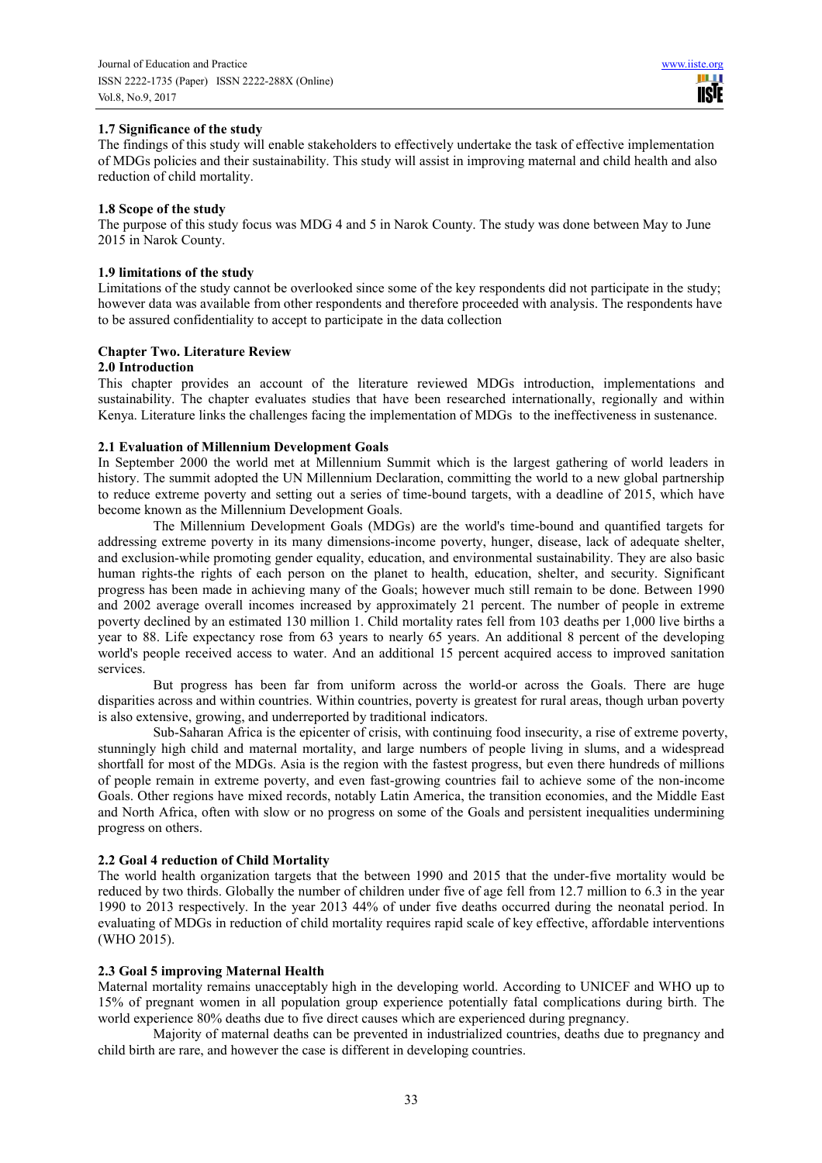## **1.7 Significance of the study**

The findings of this study will enable stakeholders to effectively undertake the task of effective implementation of MDGs policies and their sustainability. This study will assist in improving maternal and child health and also reduction of child mortality.

## **1.8 Scope of the study**

The purpose of this study focus was MDG 4 and 5 in Narok County. The study was done between May to June 2015 in Narok County.

#### **1.9 limitations of the study**

Limitations of the study cannot be overlooked since some of the key respondents did not participate in the study; however data was available from other respondents and therefore proceeded with analysis. The respondents have to be assured confidentiality to accept to participate in the data collection

## **Chapter Two. Literature Review**

#### **2.0 Introduction**

This chapter provides an account of the literature reviewed MDGs introduction, implementations and sustainability. The chapter evaluates studies that have been researched internationally, regionally and within Kenya. Literature links the challenges facing the implementation of MDGs to the ineffectiveness in sustenance.

#### **2.1 Evaluation of Millennium Development Goals**

In September 2000 the world met at Millennium Summit which is the largest gathering of world leaders in history. The summit adopted the UN Millennium Declaration, committing the world to a new global partnership to reduce extreme poverty and setting out a series of time-bound targets, with a deadline of 2015, which have become known as the Millennium Development Goals.

The Millennium Development Goals (MDGs) are the world's time-bound and quantified targets for addressing extreme poverty in its many dimensions-income poverty, hunger, disease, lack of adequate shelter, and exclusion-while promoting gender equality, education, and environmental sustainability. They are also basic human rights-the rights of each person on the planet to health, education, shelter, and security. Significant progress has been made in achieving many of the Goals; however much still remain to be done. Between 1990 and 2002 average overall incomes increased by approximately 21 percent. The number of people in extreme poverty declined by an estimated 130 million 1. Child mortality rates fell from 103 deaths per 1,000 live births a year to 88. Life expectancy rose from 63 years to nearly 65 years. An additional 8 percent of the developing world's people received access to water. And an additional 15 percent acquired access to improved sanitation services.

But progress has been far from uniform across the world-or across the Goals. There are huge disparities across and within countries. Within countries, poverty is greatest for rural areas, though urban poverty is also extensive, growing, and underreported by traditional indicators.

Sub-Saharan Africa is the epicenter of crisis, with continuing food insecurity, a rise of extreme poverty, stunningly high child and maternal mortality, and large numbers of people living in slums, and a widespread shortfall for most of the MDGs. Asia is the region with the fastest progress, but even there hundreds of millions of people remain in extreme poverty, and even fast-growing countries fail to achieve some of the non-income Goals. Other regions have mixed records, notably Latin America, the transition economies, and the Middle East and North Africa, often with slow or no progress on some of the Goals and persistent inequalities undermining progress on others.

## **2.2 Goal 4 reduction of Child Mortality**

The world health organization targets that the between 1990 and 2015 that the under-five mortality would be reduced by two thirds. Globally the number of children under five of age fell from 12.7 million to 6.3 in the year 1990 to 2013 respectively. In the year 2013 44% of under five deaths occurred during the neonatal period. In evaluating of MDGs in reduction of child mortality requires rapid scale of key effective, affordable interventions (WHO 2015).

#### **2.3 Goal 5 improving Maternal Health**

Maternal mortality remains unacceptably high in the developing world. According to UNICEF and WHO up to 15% of pregnant women in all population group experience potentially fatal complications during birth. The world experience 80% deaths due to five direct causes which are experienced during pregnancy.

Majority of maternal deaths can be prevented in industrialized countries, deaths due to pregnancy and child birth are rare, and however the case is different in developing countries.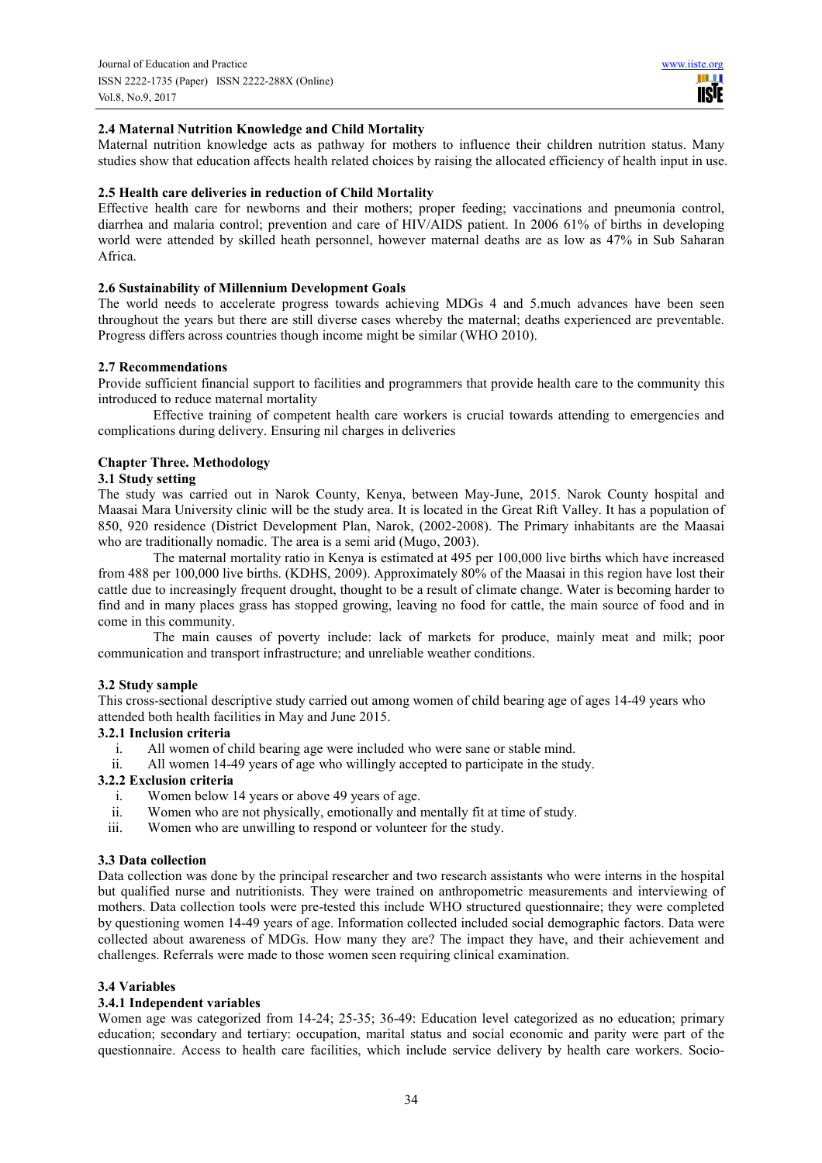**TISIE** 

## **2.4 Maternal Nutrition Knowledge and Child Mortality**

Maternal nutrition knowledge acts as pathway for mothers to influence their children nutrition status. Many studies show that education affects health related choices by raising the allocated efficiency of health input in use.

#### **2.5 Health care deliveries in reduction of Child Mortality**

Effective health care for newborns and their mothers; proper feeding; vaccinations and pneumonia control, diarrhea and malaria control; prevention and care of HIV/AIDS patient. In 2006 61% of births in developing world were attended by skilled heath personnel, however maternal deaths are as low as 47% in Sub Saharan Africa.

#### **2.6 Sustainability of Millennium Development Goals**

The world needs to accelerate progress towards achieving MDGs 4 and 5.much advances have been seen throughout the years but there are still diverse cases whereby the maternal; deaths experienced are preventable. Progress differs across countries though income might be similar (WHO 2010).

#### **2.7 Recommendations**

Provide sufficient financial support to facilities and programmers that provide health care to the community this introduced to reduce maternal mortality

Effective training of competent health care workers is crucial towards attending to emergencies and complications during delivery. Ensuring nil charges in deliveries

#### **Chapter Three. Methodology**

#### **3.1 Study setting**

The study was carried out in Narok County, Kenya, between May-June, 2015. Narok County hospital and Maasai Mara University clinic will be the study area. It is located in the Great Rift Valley. It has a population of 850, 920 residence (District Development Plan, Narok, (2002-2008). The Primary inhabitants are the Maasai who are traditionally nomadic. The area is a semi arid (Mugo, 2003).

The maternal mortality ratio in Kenya is estimated at 495 per 100,000 live births which have increased from 488 per 100,000 live births. (KDHS, 2009). Approximately 80% of the Maasai in this region have lost their cattle due to increasingly frequent drought, thought to be a result of climate change. Water is becoming harder to find and in many places grass has stopped growing, leaving no food for cattle, the main source of food and in come in this community.

The main causes of poverty include: lack of markets for produce, mainly meat and milk; poor communication and transport infrastructure; and unreliable weather conditions.

#### **3.2 Study sample**

This cross-sectional descriptive study carried out among women of child bearing age of ages 14-49 years who attended both health facilities in May and June 2015.

#### **3.2.1 Inclusion criteria**

- i. All women of child bearing age were included who were sane or stable mind.
- ii. All women 14-49 years of age who willingly accepted to participate in the study.

## **3.2.2 Exclusion criteria**

- i. Women below 14 years or above 49 years of age.<br>ii. Women who are not physically, emotionally and i
- Women who are not physically, emotionally and mentally fit at time of study.
- iii. Women who are unwilling to respond or volunteer for the study.

#### **3.3 Data collection**

Data collection was done by the principal researcher and two research assistants who were interns in the hospital but qualified nurse and nutritionists. They were trained on anthropometric measurements and interviewing of mothers. Data collection tools were pre-tested this include WHO structured questionnaire; they were completed by questioning women 14-49 years of age. Information collected included social demographic factors. Data were collected about awareness of MDGs. How many they are? The impact they have, and their achievement and challenges. Referrals were made to those women seen requiring clinical examination.

#### **3.4 Variables**

## **3.4.1 Independent variables**

Women age was categorized from 14-24; 25-35; 36-49: Education level categorized as no education; primary education; secondary and tertiary: occupation, marital status and social economic and parity were part of the questionnaire. Access to health care facilities, which include service delivery by health care workers. Socio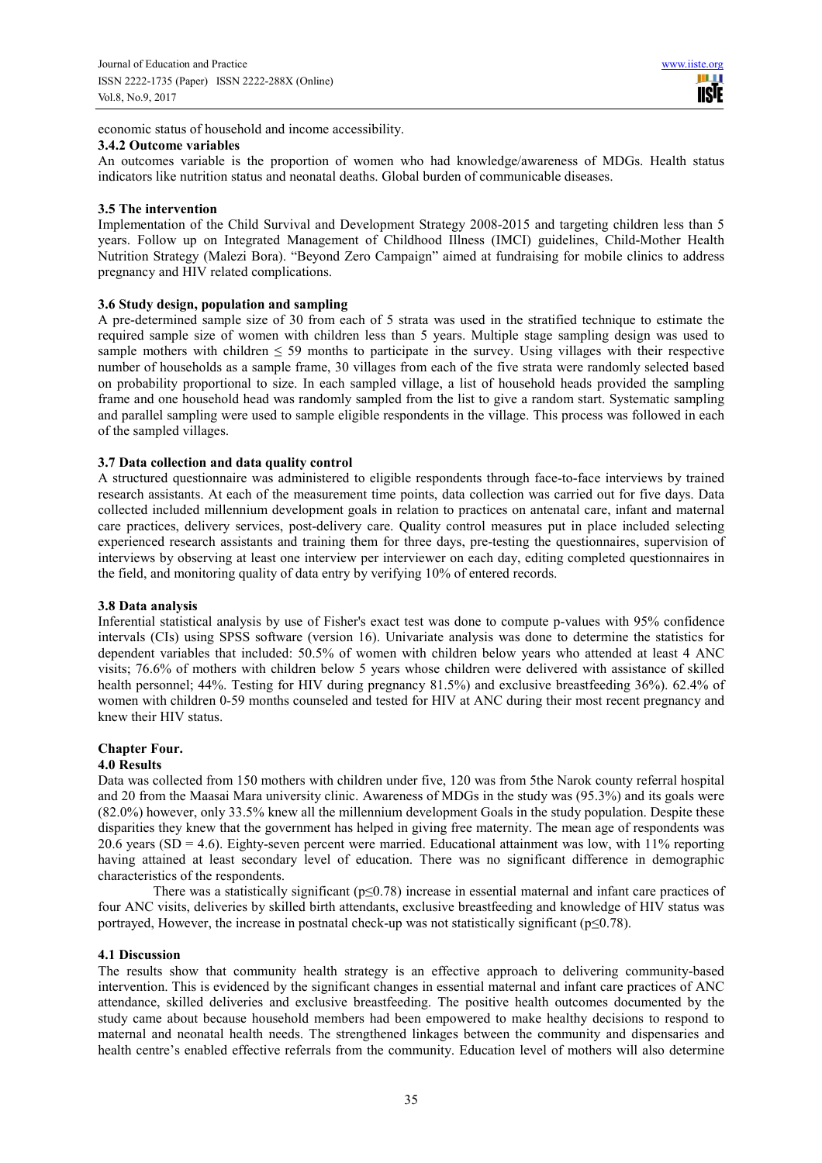economic status of household and income accessibility.

#### **3.4.2 Outcome variables**

An outcomes variable is the proportion of women who had knowledge/awareness of MDGs. Health status indicators like nutrition status and neonatal deaths. Global burden of communicable diseases.

## **3.5 The intervention**

Implementation of the Child Survival and Development Strategy 2008-2015 and targeting children less than 5 years. Follow up on Integrated Management of Childhood Illness (IMCI) guidelines, Child-Mother Health Nutrition Strategy (Malezi Bora). "Beyond Zero Campaign" aimed at fundraising for mobile clinics to address pregnancy and HIV related complications.

## **3.6 Study design, population and sampling**

A pre-determined sample size of 30 from each of 5 strata was used in the stratified technique to estimate the required sample size of women with children less than 5 years. Multiple stage sampling design was used to sample mothers with children  $\leq$  59 months to participate in the survey. Using villages with their respective number of households as a sample frame, 30 villages from each of the five strata were randomly selected based on probability proportional to size. In each sampled village, a list of household heads provided the sampling frame and one household head was randomly sampled from the list to give a random start. Systematic sampling and parallel sampling were used to sample eligible respondents in the village. This process was followed in each of the sampled villages.

## **3.7 Data collection and data quality control**

A structured questionnaire was administered to eligible respondents through face-to-face interviews by trained research assistants. At each of the measurement time points, data collection was carried out for five days. Data collected included millennium development goals in relation to practices on antenatal care, infant and maternal care practices, delivery services, post-delivery care. Quality control measures put in place included selecting experienced research assistants and training them for three days, pre-testing the questionnaires, supervision of interviews by observing at least one interview per interviewer on each day, editing completed questionnaires in the field, and monitoring quality of data entry by verifying 10% of entered records.

#### **3.8 Data analysis**

Inferential statistical analysis by use of Fisher's exact test was done to compute p-values with 95% confidence intervals (CIs) using SPSS software (version 16). Univariate analysis was done to determine the statistics for dependent variables that included: 50.5% of women with children below years who attended at least 4 ANC visits; 76.6% of mothers with children below 5 years whose children were delivered with assistance of skilled health personnel; 44%. Testing for HIV during pregnancy 81.5%) and exclusive breastfeeding 36%). 62.4% of women with children 0-59 months counseled and tested for HIV at ANC during their most recent pregnancy and knew their HIV status.

## **Chapter Four.**

## **4.0 Results**

Data was collected from 150 mothers with children under five, 120 was from 5the Narok county referral hospital and 20 from the Maasai Mara university clinic. Awareness of MDGs in the study was (95.3%) and its goals were (82.0%) however, only 33.5% knew all the millennium development Goals in the study population. Despite these disparities they knew that the government has helped in giving free maternity. The mean age of respondents was 20.6 years ( $SD = 4.6$ ). Eighty-seven percent were married. Educational attainment was low, with 11% reporting having attained at least secondary level of education. There was no significant difference in demographic characteristics of the respondents.

There was a statistically significant ( $p \le 0.78$ ) increase in essential maternal and infant care practices of four ANC visits, deliveries by skilled birth attendants, exclusive breastfeeding and knowledge of HIV status was portrayed, However, the increase in postnatal check-up was not statistically significant ( $p \le 0.78$ ).

## **4.1 Discussion**

The results show that community health strategy is an effective approach to delivering community-based intervention. This is evidenced by the significant changes in essential maternal and infant care practices of ANC attendance, skilled deliveries and exclusive breastfeeding. The positive health outcomes documented by the study came about because household members had been empowered to make healthy decisions to respond to maternal and neonatal health needs. The strengthened linkages between the community and dispensaries and health centre's enabled effective referrals from the community. Education level of mothers will also determine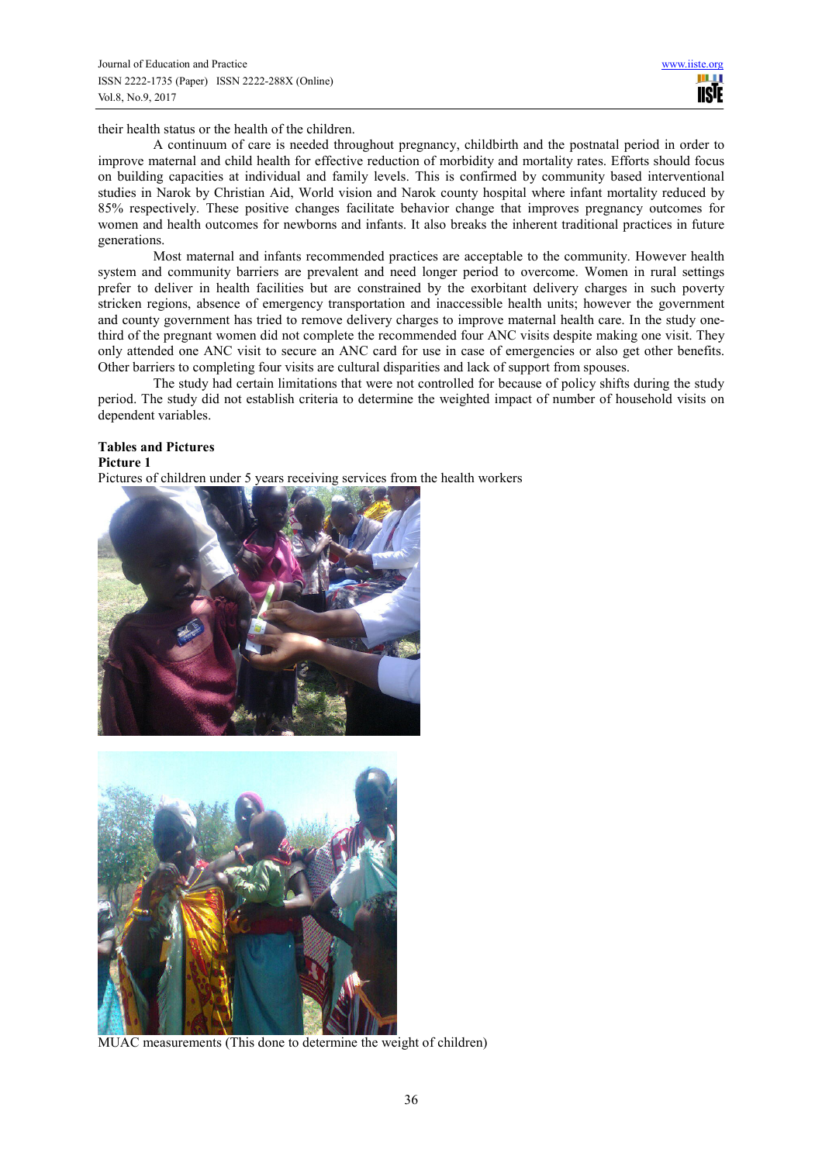their health status or the health of the children.

A continuum of care is needed throughout pregnancy, childbirth and the postnatal period in order to improve maternal and child health for effective reduction of morbidity and mortality rates. Efforts should focus on building capacities at individual and family levels. This is confirmed by community based interventional studies in Narok by Christian Aid, World vision and Narok county hospital where infant mortality reduced by 85% respectively. These positive changes facilitate behavior change that improves pregnancy outcomes for women and health outcomes for newborns and infants. It also breaks the inherent traditional practices in future generations.

Most maternal and infants recommended practices are acceptable to the community. However health system and community barriers are prevalent and need longer period to overcome. Women in rural settings prefer to deliver in health facilities but are constrained by the exorbitant delivery charges in such poverty stricken regions, absence of emergency transportation and inaccessible health units; however the government and county government has tried to remove delivery charges to improve maternal health care. In the study onethird of the pregnant women did not complete the recommended four ANC visits despite making one visit. They only attended one ANC visit to secure an ANC card for use in case of emergencies or also get other benefits. Other barriers to completing four visits are cultural disparities and lack of support from spouses.

The study had certain limitations that were not controlled for because of policy shifts during the study period. The study did not establish criteria to determine the weighted impact of number of household visits on dependent variables.

# **Tables and Pictures**

**Picture 1** 

Pictures of children under 5 years receiving services from the health workers





MUAC measurements (This done to determine the weight of children)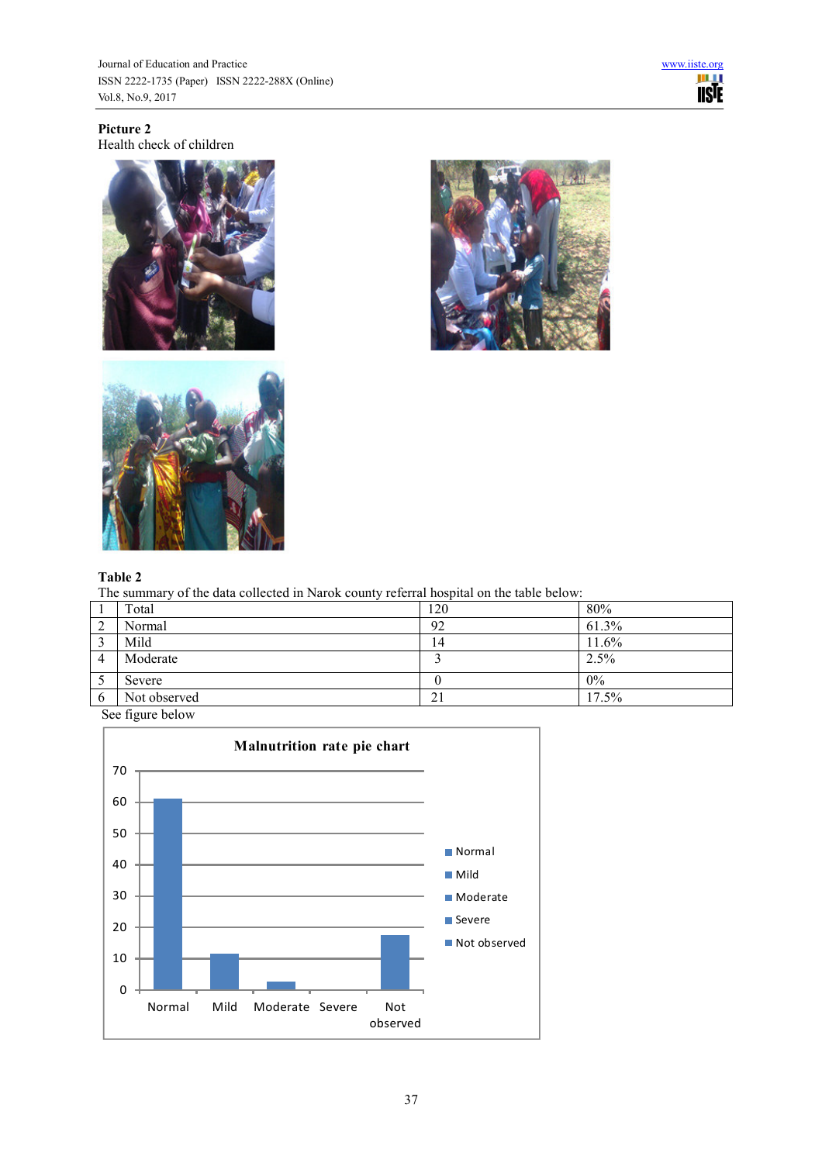**Picture 2**  Health check of children







## **Table 2**

The summary of the data collected in Narok county referral hospital on the table below:

|             | Total        | 120 | 80%   |
|-------------|--------------|-----|-------|
| $\sim$<br>∠ | Normal       | 92  | 61.3% |
| $\sim$<br>◡ | Mild         | 14  | 11.6% |
| 4           | Moderate     |     | 2.5%  |
| ر           | Severe       |     | $0\%$ |
| b           | Not observed | 21  | 17.5% |

See figure below

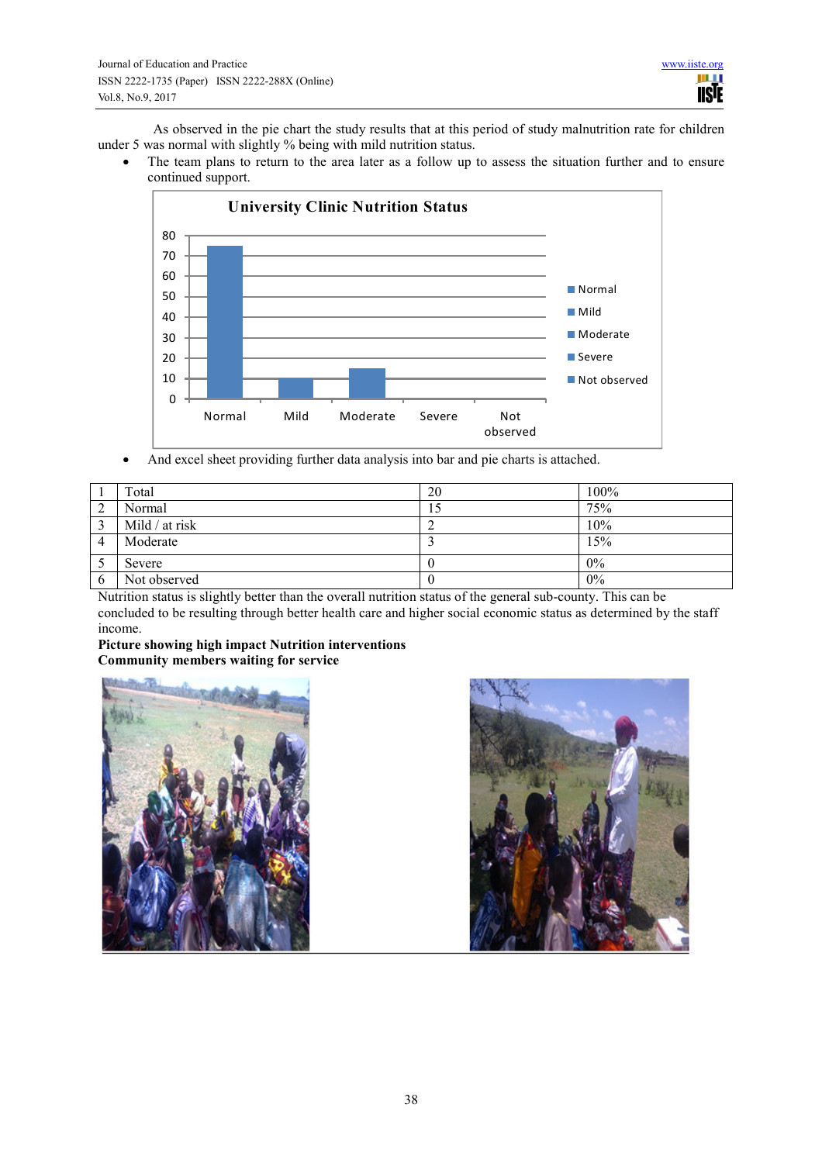As observed in the pie chart the study results that at this period of study malnutrition rate for children under 5 was normal with slightly % being with mild nutrition status.

The team plans to return to the area later as a follow up to assess the situation further and to ensure continued support.



And excel sheet providing further data analysis into bar and pie charts is attached.

|        | Total          | 20  | 100%  |
|--------|----------------|-----|-------|
| ◠<br>∠ | Normal         | 15. | 75%   |
|        | Mild / at risk |     | 10%   |
|        | Moderate       |     | 15%   |
|        | Severe         |     | 0%    |
| O      | Not observed   |     | $0\%$ |

Nutrition status is slightly better than the overall nutrition status of the general sub-county. This can be concluded to be resulting through better health care and higher social economic status as determined by the staff income.

#### **Picture showing high impact Nutrition interventions Community members waiting for service**



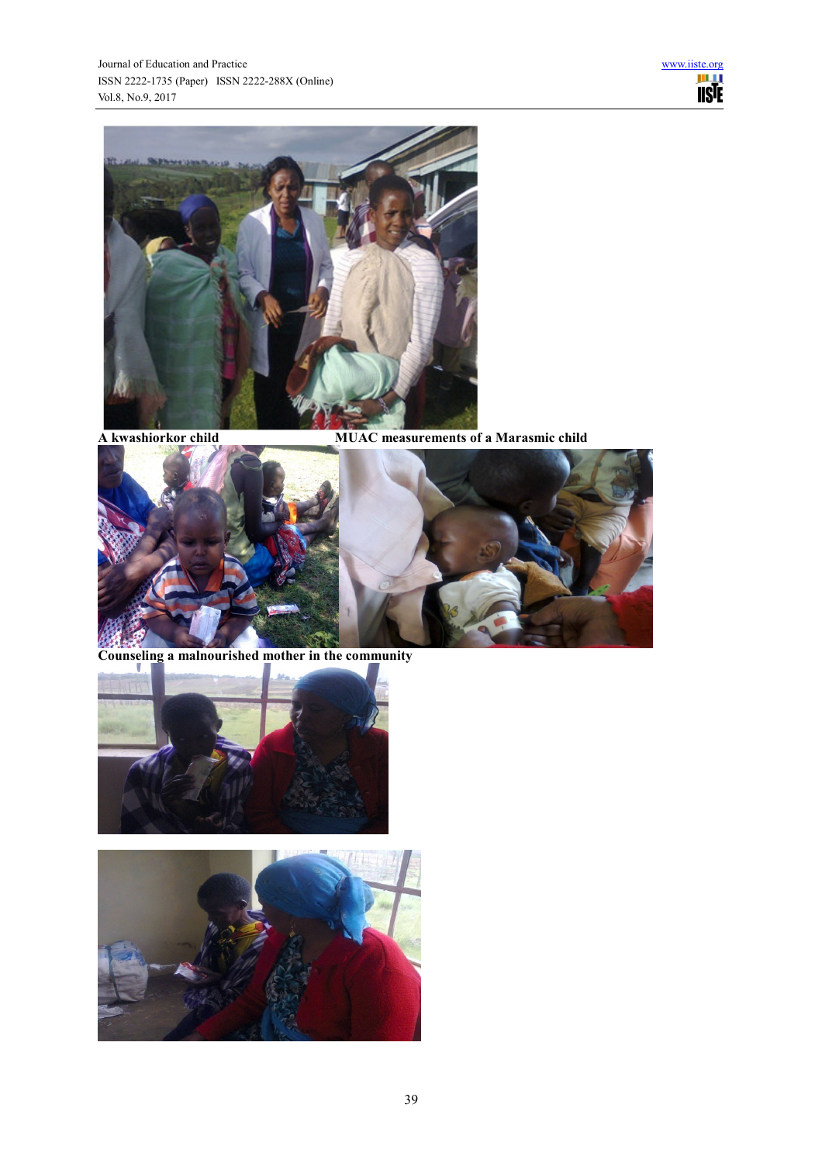

**A kwashiorkor child MUAC measurements of a Marasmic child** 



**Counseling a malnourished mother in the community** 



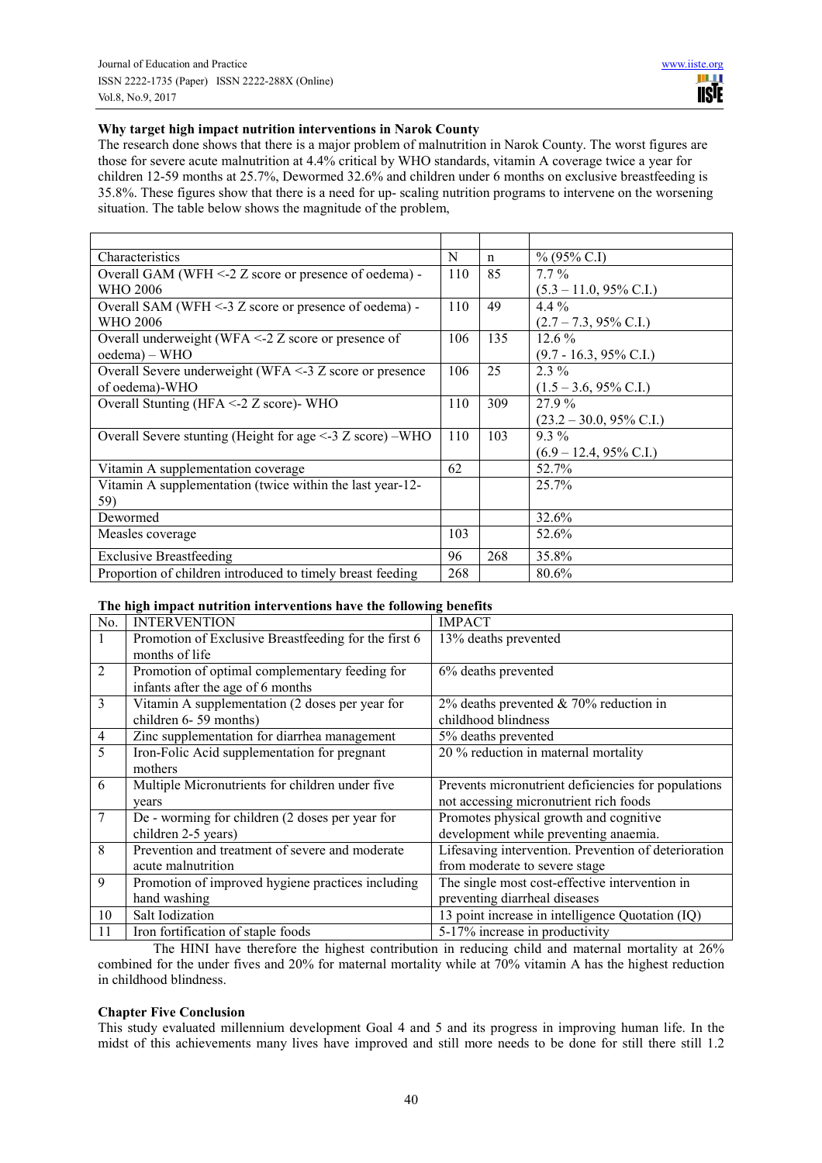## **Why target high impact nutrition interventions in Narok County**

The research done shows that there is a major problem of malnutrition in Narok County. The worst figures are those for severe acute malnutrition at 4.4% critical by WHO standards, vitamin A coverage twice a year for children 12-59 months at 25.7%, Dewormed 32.6% and children under 6 months on exclusive breastfeeding is 35.8%. These figures show that there is a need for up- scaling nutrition programs to intervene on the worsening situation. The table below shows the magnitude of the problem,

| Characteristics                                                | N   | $\mathbf n$ | $\%$ (95% C.I)                     |
|----------------------------------------------------------------|-----|-------------|------------------------------------|
| Overall GAM (WFH <-2 Z score or presence of oedema) -          | 110 | 85          | $7.7\%$                            |
| WHO 2006                                                       |     |             | $(5.3 - 11.0, 95\% \text{ C.I.})$  |
| Overall SAM (WFH $\leq$ -3 Z score or presence of oedema) -    | 110 | 49          | $4.4\%$                            |
| WHO 2006                                                       |     |             | $(2.7 - 7.3, 95\% \text{ C.I.})$   |
| Overall underweight (WFA $\leq$ 2 Z score or presence of       | 106 | 135         | $12.6\%$                           |
| oedema) – WHO                                                  |     |             | $(9.7 - 16.3, 95\% \text{ C.I.})$  |
| Overall Severe underweight (WFA $\leq$ -3 Z score or presence  | 106 | 25          | $2.3\%$                            |
| of oedema)-WHO                                                 |     |             | $(1.5 - 3.6, 95\% \text{ C.I.})$   |
| Overall Stunting (HFA $\leq$ 2 $\zeta$ z score) WHO            | 110 | 309         | 27.9%                              |
|                                                                |     |             | $(23.2 - 30.0, 95\% \text{ C.I.})$ |
| Overall Severe stunting (Height for age $\leq$ 3 Z score) –WHO | 110 | 103         | $9.3\%$                            |
|                                                                |     |             | $(6.9 - 12.4, 95\% \text{ C.I.})$  |
| Vitamin A supplementation coverage                             | 62  |             | 52.7%                              |
| Vitamin A supplementation (twice within the last year-12-      |     |             | 25.7%                              |
| 59)                                                            |     |             |                                    |
| Dewormed                                                       |     |             | 32.6%                              |
| Measles coverage                                               | 103 |             | 52.6%                              |
| <b>Exclusive Breastfeeding</b>                                 | 96  | 268         | 35.8%                              |
| Proportion of children introduced to timely breast feeding     | 268 |             | 80.6%                              |

## **The high impact nutrition interventions have the following benefits**

| No.            | <b>INTERVENTION</b>                                  | <b>IMPACT</b>                                        |
|----------------|------------------------------------------------------|------------------------------------------------------|
| $\mathbf{1}$   | Promotion of Exclusive Breastfeeding for the first 6 | 13% deaths prevented                                 |
|                | months of life                                       |                                                      |
| $\overline{2}$ | Promotion of optimal complementary feeding for       | 6% deaths prevented                                  |
|                | infants after the age of 6 months                    |                                                      |
| 3              | Vitamin A supplementation (2 doses per year for      | 2% deaths prevented $& 70\%$ reduction in            |
|                | children 6-59 months)                                | childhood blindness                                  |
| $\overline{4}$ | Zinc supplementation for diarrhea management         | 5% deaths prevented                                  |
| 5              | Iron-Folic Acid supplementation for pregnant         | 20 % reduction in maternal mortality                 |
|                | mothers                                              |                                                      |
| 6              | Multiple Micronutrients for children under five      | Prevents micronutrient deficiencies for populations  |
|                | years                                                | not accessing micronutrient rich foods               |
| 7              | De - worming for children (2 doses per year for      | Promotes physical growth and cognitive               |
|                | children 2-5 years)                                  | development while preventing anaemia.                |
| 8              | Prevention and treatment of severe and moderate      | Lifesaving intervention. Prevention of deterioration |
|                | acute malnutrition                                   | from moderate to severe stage                        |
| 9              | Promotion of improved hygiene practices including    | The single most cost-effective intervention in       |
|                | hand washing                                         | preventing diarrheal diseases                        |
| 10             | Salt Iodization                                      | 13 point increase in intelligence Quotation (IQ)     |
| 11             | Iron fortification of staple foods                   | 5-17% increase in productivity                       |

The HINI have therefore the highest contribution in reducing child and maternal mortality at 26% combined for the under fives and 20% for maternal mortality while at 70% vitamin A has the highest reduction in childhood blindness.

## **Chapter Five Conclusion**

This study evaluated millennium development Goal 4 and 5 and its progress in improving human life. In the midst of this achievements many lives have improved and still more needs to be done for still there still 1.2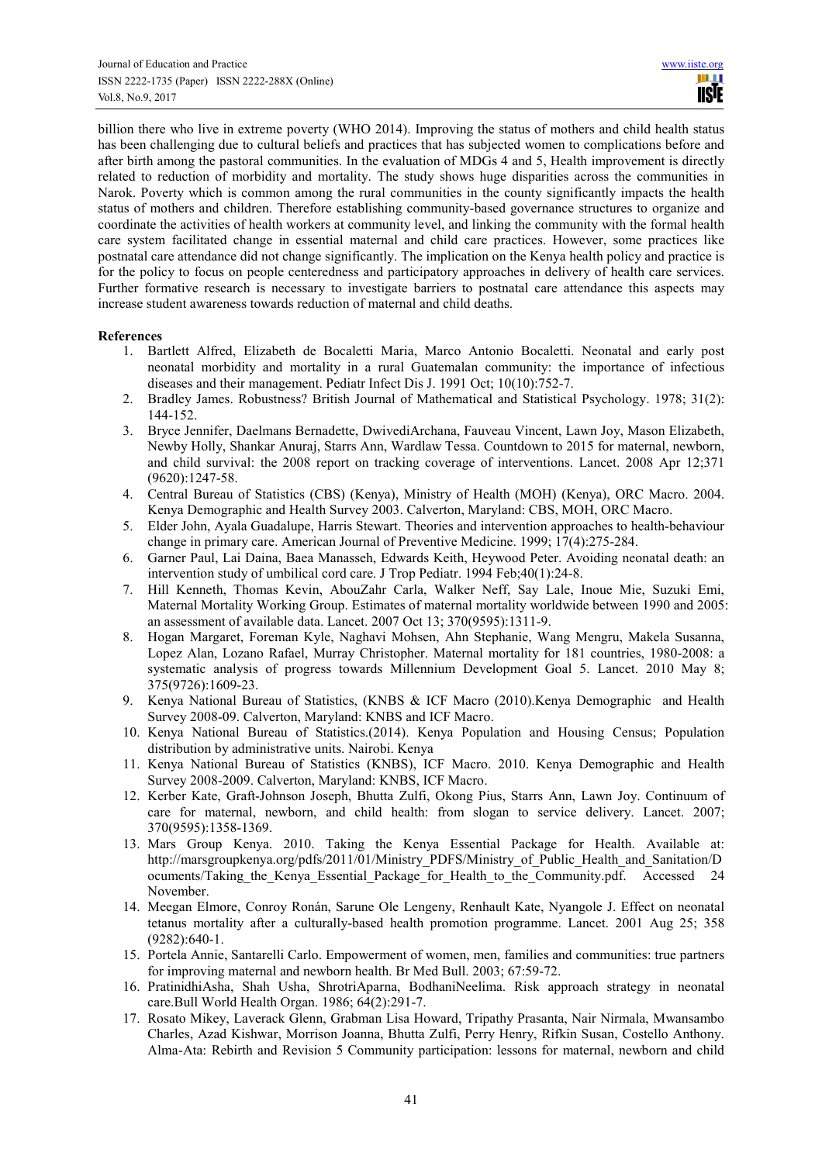billion there who live in extreme poverty (WHO 2014). Improving the status of mothers and child health status has been challenging due to cultural beliefs and practices that has subjected women to complications before and after birth among the pastoral communities. In the evaluation of MDGs 4 and 5, Health improvement is directly related to reduction of morbidity and mortality. The study shows huge disparities across the communities in Narok. Poverty which is common among the rural communities in the county significantly impacts the health status of mothers and children. Therefore establishing community-based governance structures to organize and coordinate the activities of health workers at community level, and linking the community with the formal health care system facilitated change in essential maternal and child care practices. However, some practices like postnatal care attendance did not change significantly. The implication on the Kenya health policy and practice is for the policy to focus on people centeredness and participatory approaches in delivery of health care services. Further formative research is necessary to investigate barriers to postnatal care attendance this aspects may increase student awareness towards reduction of maternal and child deaths.

#### **References**

- 1. Bartlett Alfred, Elizabeth de Bocaletti Maria, Marco Antonio Bocaletti. Neonatal and early post neonatal morbidity and mortality in a rural Guatemalan community: the importance of infectious diseases and their management. Pediatr Infect Dis J. 1991 Oct; 10(10):752-7.
- 2. Bradley James. Robustness? British Journal of Mathematical and Statistical Psychology. 1978; 31(2): 144-152.
- 3. Bryce Jennifer, Daelmans Bernadette, DwivediArchana, Fauveau Vincent, Lawn Joy, Mason Elizabeth, Newby Holly, Shankar Anuraj, Starrs Ann, Wardlaw Tessa. Countdown to 2015 for maternal, newborn, and child survival: the 2008 report on tracking coverage of interventions. Lancet. 2008 Apr 12;371 (9620):1247-58.
- 4. Central Bureau of Statistics (CBS) (Kenya), Ministry of Health (MOH) (Kenya), ORC Macro. 2004. Kenya Demographic and Health Survey 2003. Calverton, Maryland: CBS, MOH, ORC Macro.
- 5. Elder John, Ayala Guadalupe, Harris Stewart. Theories and intervention approaches to health-behaviour change in primary care. American Journal of Preventive Medicine. 1999; 17(4):275-284.
- 6. Garner Paul, Lai Daina, Baea Manasseh, Edwards Keith, Heywood Peter. Avoiding neonatal death: an intervention study of umbilical cord care. J Trop Pediatr. 1994 Feb;40(1):24-8.
- 7. Hill Kenneth, Thomas Kevin, AbouZahr Carla, Walker Neff, Say Lale, Inoue Mie, Suzuki Emi, Maternal Mortality Working Group. Estimates of maternal mortality worldwide between 1990 and 2005: an assessment of available data. Lancet. 2007 Oct 13; 370(9595):1311-9.
- 8. Hogan Margaret, Foreman Kyle, Naghavi Mohsen, Ahn Stephanie, Wang Mengru, Makela Susanna, Lopez Alan, Lozano Rafael, Murray Christopher. Maternal mortality for 181 countries, 1980-2008: a systematic analysis of progress towards Millennium Development Goal 5. Lancet. 2010 May 8; 375(9726):1609-23.
- 9. Kenya National Bureau of Statistics, (KNBS & ICF Macro (2010).Kenya Demographic and Health Survey 2008-09. Calverton, Maryland: KNBS and ICF Macro.
- 10. Kenya National Bureau of Statistics.(2014). Kenya Population and Housing Census; Population distribution by administrative units. Nairobi. Kenya
- 11. Kenya National Bureau of Statistics (KNBS), ICF Macro. 2010. Kenya Demographic and Health Survey 2008-2009. Calverton, Maryland: KNBS, ICF Macro.
- 12. Kerber Kate, Graft-Johnson Joseph, Bhutta Zulfi, Okong Pius, Starrs Ann, Lawn Joy. Continuum of care for maternal, newborn, and child health: from slogan to service delivery. Lancet. 2007; 370(9595):1358-1369.
- 13. Mars Group Kenya. 2010. Taking the Kenya Essential Package for Health. Available at: http://marsgroupkenya.org/pdfs/2011/01/Ministry PDFS/Ministry of Public Health and Sanitation/D ocuments/Taking the Kenya Essential Package for Health to the Community.pdf. Accessed 24 November.
- 14. Meegan Elmore, Conroy Ronán, Sarune Ole Lengeny, Renhault Kate, Nyangole J. Effect on neonatal tetanus mortality after a culturally-based health promotion programme. Lancet. 2001 Aug 25; 358 (9282):640-1.
- 15. Portela Annie, Santarelli Carlo. Empowerment of women, men, families and communities: true partners for improving maternal and newborn health. Br Med Bull. 2003; 67:59-72.
- 16. PratinidhiAsha, Shah Usha, ShrotriAparna, BodhaniNeelima. Risk approach strategy in neonatal care.Bull World Health Organ. 1986; 64(2):291-7.
- 17. Rosato Mikey, Laverack Glenn, Grabman Lisa Howard, Tripathy Prasanta, Nair Nirmala, Mwansambo Charles, Azad Kishwar, Morrison Joanna, Bhutta Zulfi, Perry Henry, Rifkin Susan, Costello Anthony. Alma-Ata: Rebirth and Revision 5 Community participation: lessons for maternal, newborn and child